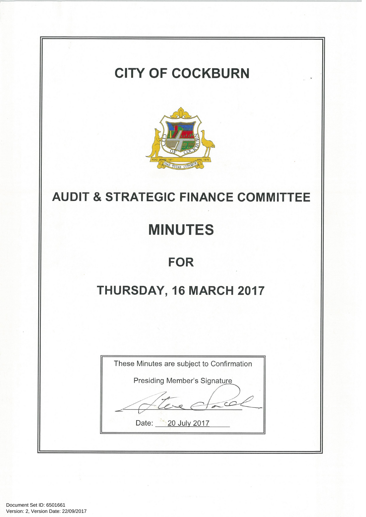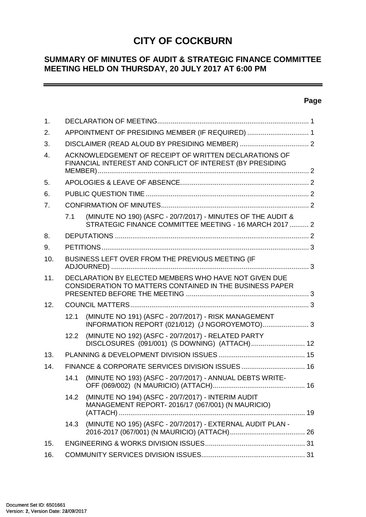# **CITY OF COCKBURN**

# **SUMMARY OF MINUTES OF AUDIT & STRATEGIC FINANCE COMMITTEE MEETING HELD ON THURSDAY, 20 JULY 2017 AT 6:00 PM**

#### **Page**

 $\overline{\phantom{0}}$ 

| 1.               |      |                                                                                                                       |  |
|------------------|------|-----------------------------------------------------------------------------------------------------------------------|--|
| 2.               |      | APPOINTMENT OF PRESIDING MEMBER (IF REQUIRED)  1                                                                      |  |
| 3.               |      |                                                                                                                       |  |
| $\overline{4}$ . |      | ACKNOWLEDGEMENT OF RECEIPT OF WRITTEN DECLARATIONS OF<br>FINANCIAL INTEREST AND CONFLICT OF INTEREST (BY PRESIDING    |  |
| 5.               |      |                                                                                                                       |  |
| 6.               |      |                                                                                                                       |  |
| 7 <sub>1</sub>   |      |                                                                                                                       |  |
|                  | 7.1  | (MINUTE NO 190) (ASFC - 20/7/2017) - MINUTES OF THE AUDIT &<br>STRATEGIC FINANCE COMMITTEE MEETING - 16 MARCH 2017  2 |  |
| 8.               |      |                                                                                                                       |  |
| 9.               |      |                                                                                                                       |  |
| 10.              |      | BUSINESS LEFT OVER FROM THE PREVIOUS MEETING (IF                                                                      |  |
| 11.              |      | DECLARATION BY ELECTED MEMBERS WHO HAVE NOT GIVEN DUE<br>CONSIDERATION TO MATTERS CONTAINED IN THE BUSINESS PAPER     |  |
| 12.              |      |                                                                                                                       |  |
|                  | 12.1 | (MINUTE NO 191) (ASFC - 20/7/2017) - RISK MANAGEMENT<br>INFORMATION REPORT (021/012) (J NGOROYEMOTO) 3                |  |
|                  | 12.2 | (MINUTE NO 192) (ASFC - 20/7/2017) - RELATED PARTY<br>DISCLOSURES (091/001) (S DOWNING) (ATTACH) 12                   |  |
| 13.              |      |                                                                                                                       |  |
| 14.              |      |                                                                                                                       |  |
|                  | 14.1 | (MINUTE NO 193) (ASFC - 20/7/2017) - ANNUAL DEBTS WRITE-                                                              |  |
|                  | 14.2 | (MINUTE NO 194) (ASFC - 20/7/2017) - INTERIM AUDIT<br>MANAGEMENT REPORT-2016/17 (067/001) (N MAURICIO)                |  |
|                  |      | 14.3 (MINUTE NO 195) (ASFC - 20/7/2017) - EXTERNAL AUDIT PLAN -                                                       |  |
| 15.              |      |                                                                                                                       |  |
| 16.              |      |                                                                                                                       |  |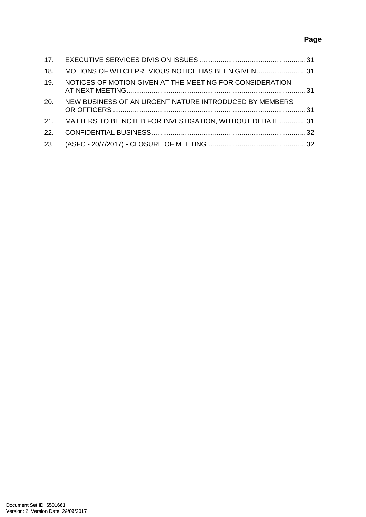# **Page**

| 18.             |                                                              |  |
|-----------------|--------------------------------------------------------------|--|
| 19.             | NOTICES OF MOTION GIVEN AT THE MEETING FOR CONSIDERATION     |  |
| 20.             | NEW BUSINESS OF AN URGENT NATURE INTRODUCED BY MEMBERS       |  |
|                 | 21. MATTERS TO BE NOTED FOR INVESTIGATION, WITHOUT DEBATE 31 |  |
| 22 <sub>1</sub> |                                                              |  |
| 23              |                                                              |  |
|                 |                                                              |  |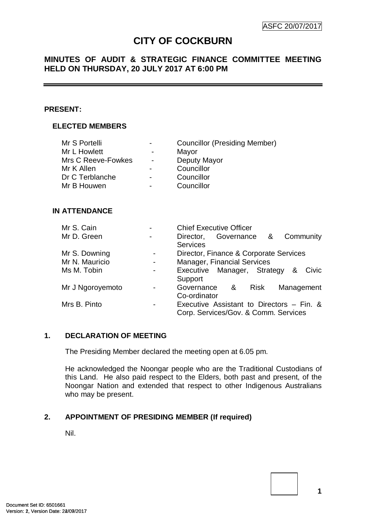# **CITY OF COCKBURN**

# **MINUTES OF AUDIT & STRATEGIC FINANCE COMMITTEE MEETING HELD ON THURSDAY, 20 JULY 2017 AT 6:00 PM**

#### **PRESENT:**

## **ELECTED MEMBERS**

| Mr S Portelli      | $\blacksquare$           | <b>Councillor (Presiding Member)</b> |
|--------------------|--------------------------|--------------------------------------|
| Mr L Howlett       | ۰                        | Mayor                                |
| Mrs C Reeve-Fowkes | $\blacksquare$           | Deputy Mayor                         |
| Mr K Allen         | $\blacksquare$           | Councillor                           |
| Dr C Terblanche    | $\blacksquare$           | Councillor                           |
| Mr B Houwen        | $\overline{\phantom{0}}$ | Councillor                           |

#### **IN ATTENDANCE**

| Mr S. Cain       |                          | <b>Chief Executive Officer</b>            |
|------------------|--------------------------|-------------------------------------------|
| Mr D. Green      |                          | Community<br>Director, Governance &       |
|                  |                          | <b>Services</b>                           |
| Mr S. Downing    | $\blacksquare$           | Director, Finance & Corporate Services    |
| Mr N. Mauricio   | $\overline{\phantom{a}}$ | <b>Manager, Financial Services</b>        |
| Ms M. Tobin      |                          | Executive Manager, Strategy &<br>Civic    |
|                  |                          | Support                                   |
| Mr J Ngoroyemoto |                          | Governance &<br>Management<br>Risk        |
|                  |                          | Co-ordinator                              |
| Mrs B. Pinto     |                          | Executive Assistant to Directors - Fin. & |
|                  |                          | Corp. Services/Gov. & Comm. Services      |

## <span id="page-3-0"></span>**1. DECLARATION OF MEETING**

The Presiding Member declared the meeting open at 6.05 pm.

He acknowledged the Noongar people who are the Traditional Custodians of this Land. He also paid respect to the Elders, both past and present, of the Noongar Nation and extended that respect to other Indigenous Australians who may be present.

## <span id="page-3-1"></span>**2. APPOINTMENT OF PRESIDING MEMBER (If required)**

Nil.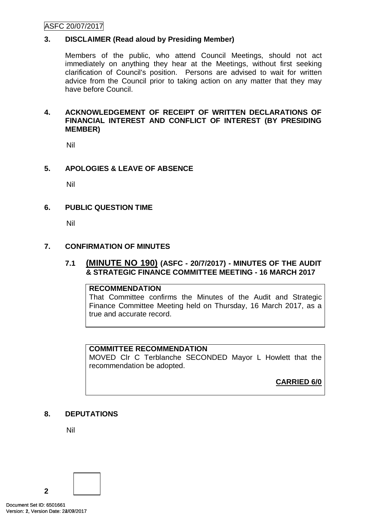## ASFC 20/07/2017

## <span id="page-4-0"></span>**3. DISCLAIMER (Read aloud by Presiding Member)**

Members of the public, who attend Council Meetings, should not act immediately on anything they hear at the Meetings, without first seeking clarification of Council's position. Persons are advised to wait for written advice from the Council prior to taking action on any matter that they may have before Council.

#### <span id="page-4-1"></span>**4. ACKNOWLEDGEMENT OF RECEIPT OF WRITTEN DECLARATIONS OF FINANCIAL INTEREST AND CONFLICT OF INTEREST (BY PRESIDING MEMBER)**

Nil

## <span id="page-4-2"></span>**5. APOLOGIES & LEAVE OF ABSENCE**

Nil

## <span id="page-4-3"></span>**6. PUBLIC QUESTION TIME**

Nil

## <span id="page-4-4"></span>**7. CONFIRMATION OF MINUTES**

## <span id="page-4-5"></span>**7.1 (MINUTE NO 190) (ASFC - 20/7/2017) - MINUTES OF THE AUDIT & STRATEGIC FINANCE COMMITTEE MEETING - 16 MARCH 2017**

## **RECOMMENDATION**

That Committee confirms the Minutes of the Audit and Strategic Finance Committee Meeting held on Thursday, 16 March 2017, as a true and accurate record.

## **COMMITTEE RECOMMENDATION**

MOVED Clr C Terblanche SECONDED Mayor L Howlett that the recommendation be adopted.

**CARRIED 6/0**

## <span id="page-4-6"></span>**8. DEPUTATIONS**

Nil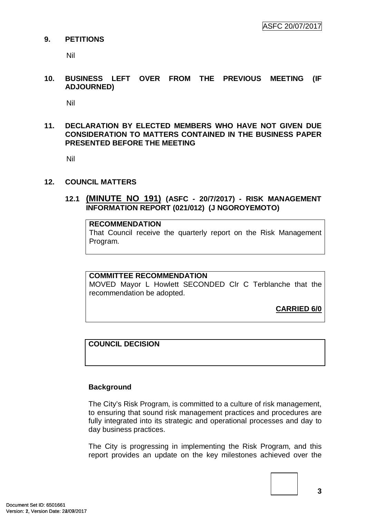#### <span id="page-5-0"></span>**9. PETITIONS**

Nil

<span id="page-5-1"></span>**10. BUSINESS LEFT OVER FROM THE PREVIOUS MEETING (IF ADJOURNED)**

Nil

## <span id="page-5-2"></span>**11. DECLARATION BY ELECTED MEMBERS WHO HAVE NOT GIVEN DUE CONSIDERATION TO MATTERS CONTAINED IN THE BUSINESS PAPER PRESENTED BEFORE THE MEETING**

Nil

#### <span id="page-5-3"></span>**12. COUNCIL MATTERS**

## <span id="page-5-4"></span>**12.1 (MINUTE NO 191) (ASFC - 20/7/2017) - RISK MANAGEMENT INFORMATION REPORT (021/012) (J NGOROYEMOTO)**

#### **RECOMMENDATION**

That Council receive the quarterly report on the Risk Management Program.

#### **COMMITTEE RECOMMENDATION**

MOVED Mayor L Howlett SECONDED Clr C Terblanche that the recommendation be adopted.

**CARRIED 6/0**

## **COUNCIL DECISION**

## **Background**

The City's Risk Program, is committed to a culture of risk management, to ensuring that sound risk management practices and procedures are fully integrated into its strategic and operational processes and day to day business practices.

The City is progressing in implementing the Risk Program, and this report provides an update on the key milestones achieved over the

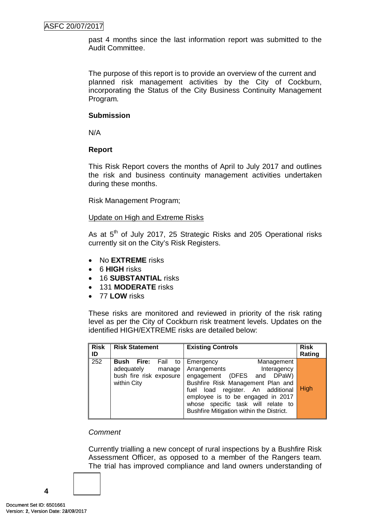past 4 months since the last information report was submitted to the Audit Committee.

The purpose of this report is to provide an overview of the current and planned risk management activities by the City of Cockburn, incorporating the Status of the City Business Continuity Management Program.

## **Submission**

N/A

# **Report**

This Risk Report covers the months of April to July 2017 and outlines the risk and business continuity management activities undertaken during these months.

Risk Management Program;

## Update on High and Extreme Risks

As at 5<sup>th</sup> of July 2017, 25 Strategic Risks and 205 Operational risks currently sit on the City's Risk Registers.

- No **EXTREME** risks
- 6 **HIGH** risks
- 16 **SUBSTANTIAL** risks
- 131 **MODERATE** risks
- 77 **LOW** risks

These risks are monitored and reviewed in priority of the risk rating level as per the City of Cockburn risk treatment levels. Updates on the identified HIGH/EXTREME risks are detailed below:

| <b>Risk</b><br>ID | <b>Risk Statement</b>                                                                | <b>Existing Controls</b>                                                                                                                                                                                                                                                              | <b>Risk</b><br>Rating |
|-------------------|--------------------------------------------------------------------------------------|---------------------------------------------------------------------------------------------------------------------------------------------------------------------------------------------------------------------------------------------------------------------------------------|-----------------------|
| 252               | Bush Fire: Fail to<br>adequately<br>manage<br>bush fire risk exposure<br>within City | Management<br>Emergency<br>Arrangements<br>Interagency<br>engagement (DFES and DPaW)<br>Bushfire Risk Management Plan and<br>fuel load register. An additional<br>employee is to be engaged in 2017<br>whose specific task will relate to<br>Bushfire Mitigation within the District. | High                  |

## *Comment*

Currently trialling a new concept of rural inspections by a Bushfire Risk Assessment Officer, as opposed to a member of the Rangers team. The trial has improved compliance and land owners understanding of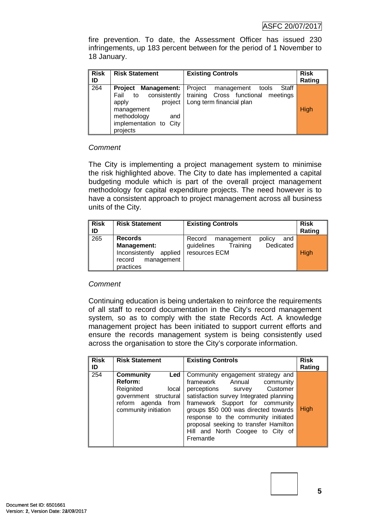fire prevention. To date, the Assessment Officer has issued 230 infringements, up 183 percent between for the period of 1 November to 18 January.

| <b>Risk</b><br>ID | <b>Risk Statement</b>                                                                                                                                    | <b>Existing Controls</b>                                                                            | <b>Risk</b><br>Rating |
|-------------------|----------------------------------------------------------------------------------------------------------------------------------------------------------|-----------------------------------------------------------------------------------------------------|-----------------------|
| 264               | Management:  <br><b>Project</b><br>consistently<br>Fail to<br>project<br>apply<br>management<br>methodology<br>and<br>implementation to City<br>projects | Project management tools<br>Staff<br>training Cross functional meetings<br>Long term financial plan | <b>High</b>           |

## *Comment*

The City is implementing a project management system to minimise the risk highlighted above. The City to date has implemented a capital budgeting module which is part of the overall project management methodology for capital expenditure projects. The need however is to have a consistent approach to project management across all business units of the City.

| <b>Risk</b><br>ID | <b>Risk Statement</b>                                                                           | <b>Existing Controls</b>                                                                      | <b>Risk</b><br>Rating |
|-------------------|-------------------------------------------------------------------------------------------------|-----------------------------------------------------------------------------------------------|-----------------------|
| 265               | <b>Records</b><br>Management:<br>Inconsistently<br>applied<br>management<br>record<br>practices | policy<br>and<br>Record<br>management<br>Dedicated<br>Training<br>guidelines<br>resources ECM | High                  |

## *Comment*

Continuing education is being undertaken to reinforce the requirements of all staff to record documentation in the City's record management system, so as to comply with the state Records Act. A knowledge management project has been initiated to support current efforts and ensure the records management system is being consistently used across the organisation to store the City's corporate information.

| <b>Risk</b><br>ID | <b>Risk Statement</b>                                                                                                           | <b>Existing Controls</b>                                                                                                                                                                                                                                                                                                                                 | <b>Risk</b><br>Rating |
|-------------------|---------------------------------------------------------------------------------------------------------------------------------|----------------------------------------------------------------------------------------------------------------------------------------------------------------------------------------------------------------------------------------------------------------------------------------------------------------------------------------------------------|-----------------------|
| $\overline{254}$  | <b>Community</b><br>Led<br>Reform:<br>Reignited<br>local<br>government structural<br>reform agenda from<br>community initiation | Community engagement strategy and<br>framework Annual community<br>Customer<br>perceptions survey<br>satisfaction survey Integrated planning<br>framework Support for community<br>groups \$50 000 was directed towards<br>response to the community initiated<br>proposal seeking to transfer Hamilton<br>Hill and North Coogee to City of<br>Fremantle | High                  |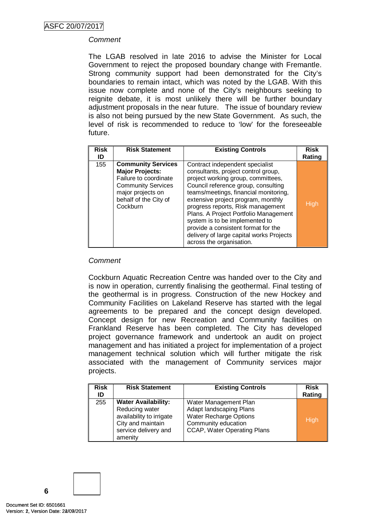## *Comment*

The LGAB resolved in late 2016 to advise the Minister for Local Government to reject the proposed boundary change with Fremantle. Strong community support had been demonstrated for the City's boundaries to remain intact, which was noted by the LGAB. With this issue now complete and none of the City's neighbours seeking to reignite debate, it is most unlikely there will be further boundary adjustment proposals in the near future. The issue of boundary review is also not being pursued by the new State Government. As such, the level of risk is recommended to reduce to 'low' for the foreseeable future.

| <b>Risk</b><br>ID | <b>Risk Statement</b>                                                                                                                                               | <b>Existing Controls</b>                                                                                                                                                                                                                                                                                                                                                                                                                                          | <b>Risk</b><br>Rating |
|-------------------|---------------------------------------------------------------------------------------------------------------------------------------------------------------------|-------------------------------------------------------------------------------------------------------------------------------------------------------------------------------------------------------------------------------------------------------------------------------------------------------------------------------------------------------------------------------------------------------------------------------------------------------------------|-----------------------|
| 155               | <b>Community Services</b><br><b>Major Projects:</b><br>Failure to coordinate<br><b>Community Services</b><br>major projects on<br>behalf of the City of<br>Cockburn | Contract independent specialist<br>consultants, project control group,<br>project working group, committees,<br>Council reference group, consulting<br>teams/meetings, financial monitoring,<br>extensive project program, monthly<br>progress reports, Risk management<br>Plans. A Project Portfolio Management<br>system is to be implemented to<br>provide a consistent format for the<br>delivery of large capital works Projects<br>across the organisation. | High                  |

## *Comment*

Cockburn Aquatic Recreation Centre was handed over to the City and is now in operation, currently finalising the geothermal. Final testing of the geothermal is in progress. Construction of the new Hockey and Community Facilities on Lakeland Reserve has started with the legal agreements to be prepared and the concept design developed. Concept design for new Recreation and Community facilities on Frankland Reserve has been completed. The City has developed project governance framework and undertook an audit on project management and has initiated a project for implementation of a project management technical solution which will further mitigate the risk associated with the management of Community services major projects.

| <b>Risk</b><br>ID | <b>Risk Statement</b>                                                                                                            | <b>Existing Controls</b>                                                                                                                       | <b>Risk</b><br>Rating |
|-------------------|----------------------------------------------------------------------------------------------------------------------------------|------------------------------------------------------------------------------------------------------------------------------------------------|-----------------------|
| 255               | <b>Water Availability:</b><br>Reducing water<br>availability to irrigate<br>City and maintain<br>service delivery and<br>amenity | Water Management Plan<br>Adapt landscaping Plans<br><b>Water Recharge Options</b><br>Community education<br><b>CCAP, Water Operating Plans</b> | High                  |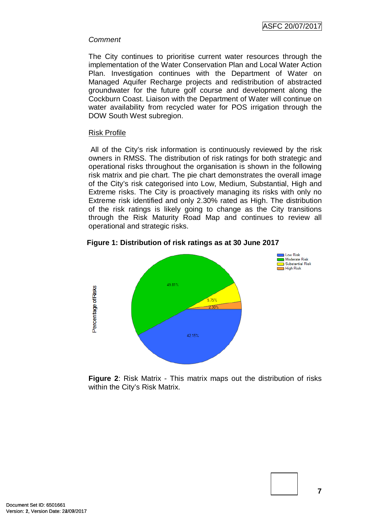#### *Comment*

The City continues to prioritise current water resources through the implementation of the Water Conservation Plan and Local Water Action Plan. Investigation continues with the Department of Water on Managed Aquifer Recharge projects and redistribution of abstracted groundwater for the future golf course and development along the Cockburn Coast. Liaison with the Department of Water will continue on water availability from recycled water for POS irrigation through the DOW South West subregion.

#### Risk Profile

All of the City's risk information is continuously reviewed by the risk owners in RMSS. The distribution of risk ratings for both strategic and operational risks throughout the organisation is shown in the following risk matrix and pie chart. The pie chart demonstrates the overall image of the City's risk categorised into Low, Medium, Substantial, High and Extreme risks. The City is proactively managing its risks with only no Extreme risk identified and only 2.30% rated as High. The distribution of the risk ratings is likely going to change as the City transitions through the Risk Maturity Road Map and continues to review all operational and strategic risks.





**Figure 2**: Risk Matrix - This matrix maps out the distribution of risks within the City's Risk Matrix.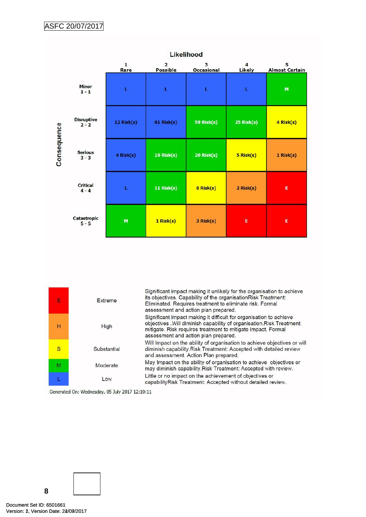

| E | Extreme     | Significant impact making it unlikely for the organisation to achieve<br>its objectives. Capability of the organisationRisk Treatment:<br>Eliminated. Requires treatment to eliminate risk. Formal<br>assessment and action plan prepared.           |
|---|-------------|------------------------------------------------------------------------------------------------------------------------------------------------------------------------------------------------------------------------------------------------------|
| н | High        | Significant impact making it difficult for organisation to achieve<br>objectives . Will diminish capability of organisation. Risk Treatment:<br>mitigate. Risk requires treatment to mitigate impact. Formal<br>assessment and action plan prepared. |
| S | Substantial | Will Impact on the ability of organisation to achieve objectives or will<br>diminish capability. Risk Treatment: Accepted with detailed review<br>and assessment. Action Plan prepared.                                                              |
| M | Moderate    | May Impact on the ability of organisation to achieve objectives or<br>may diminish capability. Risk Treatment: Accepted with review.                                                                                                                 |
|   | Low         | Little or no impact on the achievement of objectives or<br>capabilityRisk Treatment: Accepted without detailed review.                                                                                                                               |

Generated On: Wednesday, 05 July 2017 12:10:11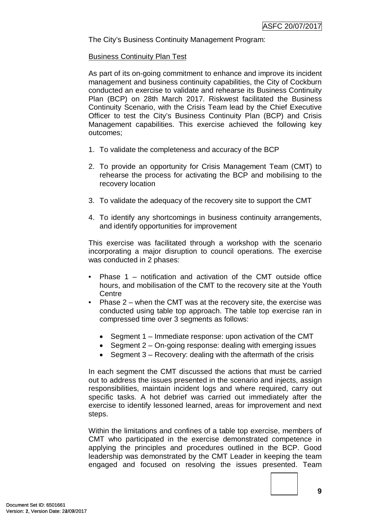The City's Business Continuity Management Program:

#### Business Continuity Plan Test

As part of its on-going commitment to enhance and improve its incident management and business continuity capabilities, the City of Cockburn conducted an exercise to validate and rehearse its Business Continuity Plan (BCP) on 28th March 2017. Riskwest facilitated the Business Continuity Scenario, with the Crisis Team lead by the Chief Executive Officer to test the City's Business Continuity Plan (BCP) and Crisis Management capabilities. This exercise achieved the following key outcomes;

- 1. To validate the completeness and accuracy of the BCP
- 2. To provide an opportunity for Crisis Management Team (CMT) to rehearse the process for activating the BCP and mobilising to the recovery location
- 3. To validate the adequacy of the recovery site to support the CMT
- 4. To identify any shortcomings in business continuity arrangements, and identify opportunities for improvement

This exercise was facilitated through a workshop with the scenario incorporating a major disruption to council operations. The exercise was conducted in 2 phases:

- Phase  $1$  notification and activation of the CMT outside office hours, and mobilisation of the CMT to the recovery site at the Youth **Centre**
- Phase  $2$  when the CMT was at the recovery site, the exercise was conducted using table top approach. The table top exercise ran in compressed time over 3 segments as follows:
	- Segment 1 Immediate response: upon activation of the CMT
	- Segment 2 On-going response: dealing with emerging issues
	- Segment  $3 -$  Recovery: dealing with the aftermath of the crisis

In each segment the CMT discussed the actions that must be carried out to address the issues presented in the scenario and injects, assign responsibilities, maintain incident logs and where required, carry out specific tasks. A hot debrief was carried out immediately after the exercise to identify lessoned learned, areas for improvement and next steps.

Within the limitations and confines of a table top exercise, members of CMT who participated in the exercise demonstrated competence in applying the principles and procedures outlined in the BCP. Good leadership was demonstrated by the CMT Leader in keeping the team engaged and focused on resolving the issues presented. Team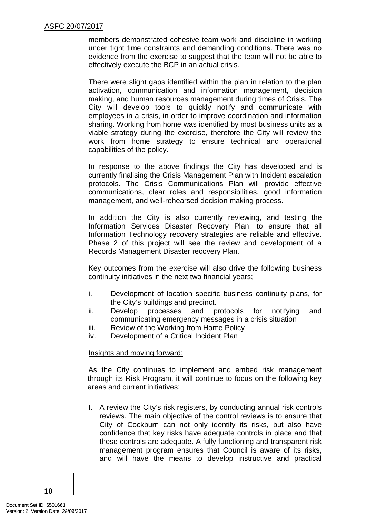members demonstrated cohesive team work and discipline in working under tight time constraints and demanding conditions. There was no evidence from the exercise to suggest that the team will not be able to effectively execute the BCP in an actual crisis.

There were slight gaps identified within the plan in relation to the plan activation, communication and information management, decision making, and human resources management during times of Crisis. The City will develop tools to quickly notify and communicate with employees in a crisis, in order to improve coordination and information sharing. Working from home was identified by most business units as a viable strategy during the exercise, therefore the City will review the work from home strategy to ensure technical and operational capabilities of the policy.

In response to the above findings the City has developed and is currently finalising the Crisis Management Plan with Incident escalation protocols. The Crisis Communications Plan will provide effective communications, clear roles and responsibilities, good information management, and well-rehearsed decision making process.

In addition the City is also currently reviewing, and testing the Information Services Disaster Recovery Plan, to ensure that all Information Technology recovery strategies are reliable and effective. Phase 2 of this project will see the review and development of a Records Management Disaster recovery Plan.

Key outcomes from the exercise will also drive the following business continuity initiatives in the next two financial years;

- i. Development of location specific business continuity plans, for the City's buildings and precinct.
- ii. Develop processes and protocols for notifying and communicating emergency messages in a crisis situation
- iii. Review of the Working from Home Policy
- iv. Development of a Critical Incident Plan

## Insights and moving forward:

As the City continues to implement and embed risk management through its Risk Program, it will continue to focus on the following key areas and current initiatives:

I. A review the City's risk registers, by conducting annual risk controls reviews. The main objective of the control reviews is to ensure that City of Cockburn can not only identify its risks, but also have confidence that key risks have adequate controls in place and that these controls are adequate. A fully functioning and transparent risk management program ensures that Council is aware of its risks, and will have the means to develop instructive and practical

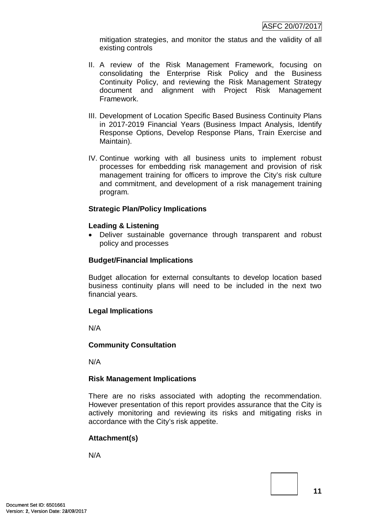mitigation strategies, and monitor the status and the validity of all existing controls

- II. A review of the Risk Management Framework, focusing on consolidating the Enterprise Risk Policy and the Business Continuity Policy, and reviewing the Risk Management Strategy document and alignment with Project Risk Management Framework.
- III. Development of Location Specific Based Business Continuity Plans in 2017-2019 Financial Years (Business Impact Analysis, Identify Response Options, Develop Response Plans, Train Exercise and Maintain).
- IV. Continue working with all business units to implement robust processes for embedding risk management and provision of risk management training for officers to improve the City's risk culture and commitment, and development of a risk management training program.

## **Strategic Plan/Policy Implications**

## **Leading & Listening**

• Deliver sustainable governance through transparent and robust policy and processes

## **Budget/Financial Implications**

Budget allocation for external consultants to develop location based business continuity plans will need to be included in the next two financial years.

# **Legal Implications**

N/A

## **Community Consultation**

N/A

## **Risk Management Implications**

There are no risks associated with adopting the recommendation. However presentation of this report provides assurance that the City is actively monitoring and reviewing its risks and mitigating risks in accordance with the City's risk appetite.

# **Attachment(s)**

N/A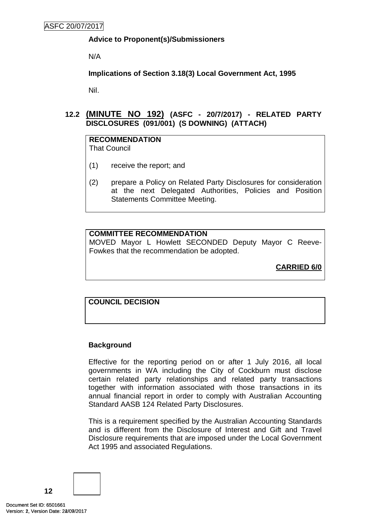# **Advice to Proponent(s)/Submissioners**

N/A

**Implications of Section 3.18(3) Local Government Act, 1995**

Nil.

<span id="page-14-0"></span>**12.2 (MINUTE NO 192) (ASFC - 20/7/2017) - RELATED PARTY DISCLOSURES (091/001) (S DOWNING) (ATTACH)**

# **RECOMMENDATION**

That Council

- (1) receive the report; and
- (2) prepare a Policy on Related Party Disclosures for consideration at the next Delegated Authorities, Policies and Position Statements Committee Meeting.

# **COMMITTEE RECOMMENDATION**

MOVED Mayor L Howlett SECONDED Deputy Mayor C Reeve-Fowkes that the recommendation be adopted.

**CARRIED 6/0**

# **COUNCIL DECISION**

# **Background**

Effective for the reporting period on or after 1 July 2016, all local governments in WA including the City of Cockburn must disclose certain related party relationships and related party transactions together with information associated with those transactions in its annual financial report in order to comply with Australian Accounting Standard AASB 124 Related Party Disclosures.

This is a requirement specified by the Australian Accounting Standards and is different from the Disclosure of Interest and Gift and Travel Disclosure requirements that are imposed under the Local Government Act 1995 and associated Regulations.

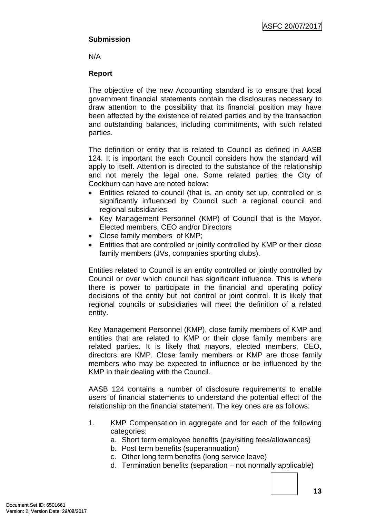## **Submission**

N/A

## **Report**

The objective of the new Accounting standard is to ensure that local government financial statements contain the disclosures necessary to draw attention to the possibility that its financial position may have been affected by the existence of related parties and by the transaction and outstanding balances, including commitments, with such related parties.

The definition or entity that is related to Council as defined in AASB 124. It is important the each Council considers how the standard will apply to itself. Attention is directed to the substance of the relationship and not merely the legal one. Some related parties the City of Cockburn can have are noted below:

- Entities related to council (that is, an entity set up, controlled or is significantly influenced by Council such a regional council and regional subsidiaries.
- Key Management Personnel (KMP) of Council that is the Mayor. Elected members, CEO and/or Directors
- Close family members of KMP;
- Entities that are controlled or jointly controlled by KMP or their close family members (JVs, companies sporting clubs).

Entities related to Council is an entity controlled or jointly controlled by Council or over which council has significant influence. This is where there is power to participate in the financial and operating policy decisions of the entity but not control or joint control. It is likely that regional councils or subsidiaries will meet the definition of a related entity.

Key Management Personnel (KMP), close family members of KMP and entities that are related to KMP or their close family members are related parties. It is likely that mayors, elected members, CEO, directors are KMP. Close family members or KMP are those family members who may be expected to influence or be influenced by the KMP in their dealing with the Council.

AASB 124 contains a number of disclosure requirements to enable users of financial statements to understand the potential effect of the relationship on the financial statement. The key ones are as follows:

- 1. KMP Compensation in aggregate and for each of the following categories:
	- a. Short term employee benefits (pay/siting fees/allowances)
	- b. Post term benefits (superannuation)
	- c. Other long term benefits (long service leave)
	- d. Termination benefits (separation not normally applicable)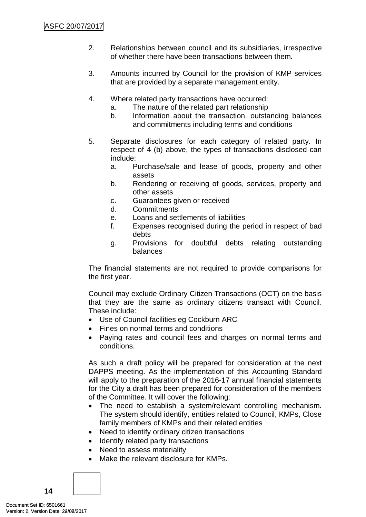- 2. Relationships between council and its subsidiaries, irrespective of whether there have been transactions between them.
- 3. Amounts incurred by Council for the provision of KMP services that are provided by a separate management entity.
- 4. Where related party transactions have occurred:
	- a. The nature of the related part relationship
	- b. Information about the transaction, outstanding balances and commitments including terms and conditions
- 5. Separate disclosures for each category of related party. In respect of 4 (b) above, the types of transactions disclosed can include:
	- a. Purchase/sale and lease of goods, property and other assets
	- b. Rendering or receiving of goods, services, property and other assets
	- c. Guarantees given or received
	- d. Commitments
	- e. Loans and settlements of liabilities
	- f. Expenses recognised during the period in respect of bad debts
	- g. Provisions for doubtful debts relating outstanding balances

The financial statements are not required to provide comparisons for the first year.

Council may exclude Ordinary Citizen Transactions (OCT) on the basis that they are the same as ordinary citizens transact with Council. These include:

- Use of Council facilities eg Cockburn ARC
- Fines on normal terms and conditions
- Paying rates and council fees and charges on normal terms and conditions.

As such a draft policy will be prepared for consideration at the next DAPPS meeting. As the implementation of this Accounting Standard will apply to the preparation of the 2016-17 annual financial statements for the City a draft has been prepared for consideration of the members of the Committee. It will cover the following:

- The need to establish a system/relevant controlling mechanism. The system should identify, entities related to Council, KMPs, Close family members of KMPs and their related entities
- Need to identify ordinary citizen transactions
- Identify related party transactions
- Need to assess materiality
- Make the relevant disclosure for KMPs.

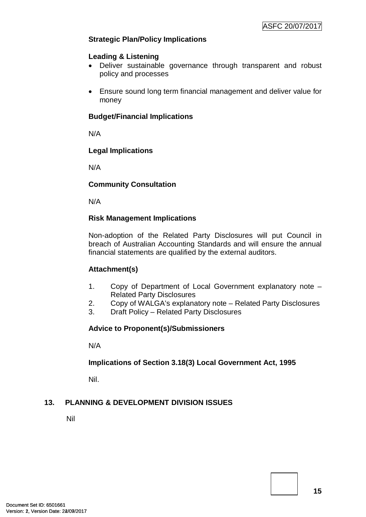# **Strategic Plan/Policy Implications**

## **Leading & Listening**

- Deliver sustainable governance through transparent and robust policy and processes
- Ensure sound long term financial management and deliver value for money

## **Budget/Financial Implications**

N/A

## **Legal Implications**

N/A

## **Community Consultation**

N/A

## **Risk Management Implications**

Non-adoption of the Related Party Disclosures will put Council in breach of Australian Accounting Standards and will ensure the annual financial statements are qualified by the external auditors.

# **Attachment(s)**

- 1. Copy of Department of Local Government explanatory note Related Party Disclosures
- 2. Copy of WALGA's explanatory note Related Party Disclosures
- 3. Draft Policy Related Party Disclosures

# **Advice to Proponent(s)/Submissioners**

N/A

# **Implications of Section 3.18(3) Local Government Act, 1995**

Nil.

# <span id="page-17-0"></span>**13. PLANNING & DEVELOPMENT DIVISION ISSUES**

Nil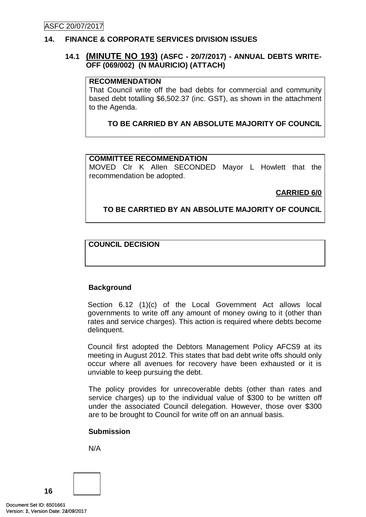# <span id="page-18-0"></span>**14. FINANCE & CORPORATE SERVICES DIVISION ISSUES**

## <span id="page-18-1"></span>**14.1 (MINUTE NO 193) (ASFC - 20/7/2017) - ANNUAL DEBTS WRITE-OFF (069/002) (N MAURICIO) (ATTACH)**

## **RECOMMENDATION**

That Council write off the bad debts for commercial and community based debt totalling \$6,502.37 (inc. GST), as shown in the attachment to the Agenda.

**TO BE CARRIED BY AN ABSOLUTE MAJORITY OF COUNCIL**

## **COMMITTEE RECOMMENDATION**

MOVED Clr K Allen SECONDED Mayor L Howlett that the recommendation be adopted.

**CARRIED 6/0**

## **TO BE CARRTIED BY AN ABSOLUTE MAJORITY OF COUNCIL**

## **COUNCIL DECISION**

## **Background**

Section 6.12 (1)(c) of the Local Government Act allows local governments to write off any amount of money owing to it (other than rates and service charges). This action is required where debts become delinquent.

Council first adopted the Debtors Management Policy AFCS9 at its meeting in August 2012. This states that bad debt write offs should only occur where all avenues for recovery have been exhausted or it is unviable to keep pursuing the debt.

The policy provides for unrecoverable debts (other than rates and service charges) up to the individual value of \$300 to be written off under the associated Council delegation. However, those over \$300 are to be brought to Council for write off on an annual basis.

## **Submission**

N/A

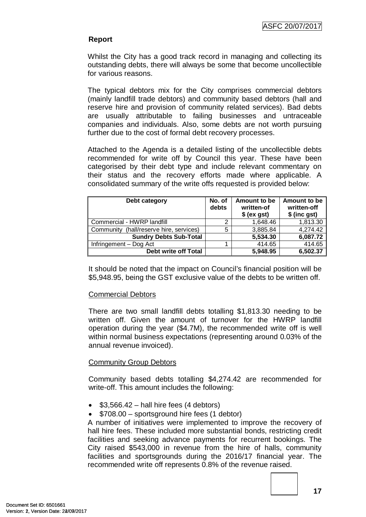#### **Report**

Whilst the City has a good track record in managing and collecting its outstanding debts, there will always be some that become uncollectible for various reasons.

The typical debtors mix for the City comprises commercial debtors (mainly landfill trade debtors) and community based debtors (hall and reserve hire and provision of community related services). Bad debts are usually attributable to failing businesses and untraceable companies and individuals. Also, some debts are not worth pursuing further due to the cost of formal debt recovery processes.

Attached to the Agenda is a detailed listing of the uncollectible debts recommended for write off by Council this year. These have been categorised by their debt type and include relevant commentary on their status and the recovery efforts made where applicable. A consolidated summary of the write offs requested is provided below:

| Debt category                           | No. of<br>debts | Amount to be<br>written-of<br>$$$ (ex gst) | Amount to be<br>written-off<br>\$ (inc gst) |
|-----------------------------------------|-----------------|--------------------------------------------|---------------------------------------------|
| Commercial - HWRP landfill              | 2               | 1,648.46                                   | 1,813.30                                    |
| Community (hall/reserve hire, services) | 5               | 3,885.84                                   | 4,274.42                                    |
| <b>Sundry Debts Sub-Total</b>           |                 | 5,534.30                                   | 6,087.72                                    |
| Infringement - Dog Act                  |                 | 414.65                                     | 414.65                                      |
| Debt write off Total                    |                 | 5,948.95                                   | 6,502.37                                    |

It should be noted that the impact on Council's financial position will be \$5,948.95, being the GST exclusive value of the debts to be written off.

## Commercial Debtors

There are two small landfill debts totalling \$1,813.30 needing to be written off. Given the amount of turnover for the HWRP landfill operation during the year (\$4.7M), the recommended write off is well within normal business expectations (representing around 0.03% of the annual revenue invoiced).

## Community Group Debtors

Community based debts totalling \$4,274.42 are recommended for write-off. This amount includes the following:

- $$3,566.42 hall hire fees (4 debts)$
- \$708.00 sportsground hire fees (1 debtor)

A number of initiatives were implemented to improve the recovery of hall hire fees. These included more substantial bonds, restricting credit facilities and seeking advance payments for recurrent bookings. The City raised \$543,000 in revenue from the hire of halls, community facilities and sportsgrounds during the 2016/17 financial year. The recommended write off represents 0.8% of the revenue raised.

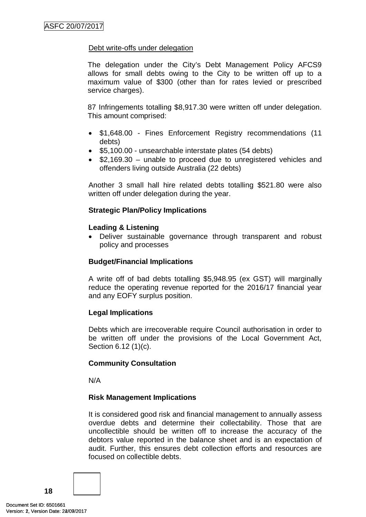## Debt write-offs under delegation

The delegation under the City's Debt Management Policy AFCS9 allows for small debts owing to the City to be written off up to a maximum value of \$300 (other than for rates levied or prescribed service charges).

87 Infringements totalling \$8,917.30 were written off under delegation. This amount comprised:

- \$1,648.00 Fines Enforcement Registry recommendations (11 debts)
- \$5,100.00 unsearchable interstate plates (54 debts)
- \$2,169.30 unable to proceed due to unregistered vehicles and offenders living outside Australia (22 debts)

Another 3 small hall hire related debts totalling \$521.80 were also written off under delegation during the year.

## **Strategic Plan/Policy Implications**

#### **Leading & Listening**

• Deliver sustainable governance through transparent and robust policy and processes

#### **Budget/Financial Implications**

A write off of bad debts totalling \$5,948.95 (ex GST) will marginally reduce the operating revenue reported for the 2016/17 financial year and any EOFY surplus position.

#### **Legal Implications**

Debts which are irrecoverable require Council authorisation in order to be written off under the provisions of the Local Government Act, Section 6.12 (1)(c).

## **Community Consultation**

N/A

#### **Risk Management Implications**

It is considered good risk and financial management to annually assess overdue debts and determine their collectability. Those that are uncollectible should be written off to increase the accuracy of the debtors value reported in the balance sheet and is an expectation of audit. Further, this ensures debt collection efforts and resources are focused on collectible debts.

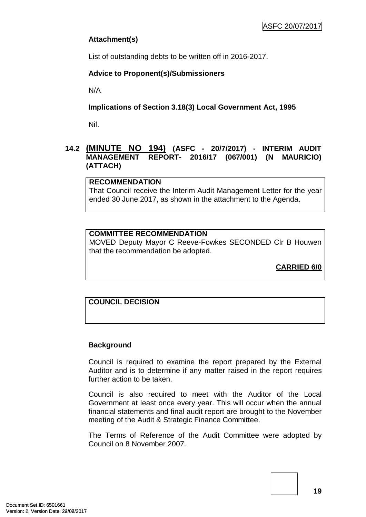# **Attachment(s)**

List of outstanding debts to be written off in 2016-2017.

# **Advice to Proponent(s)/Submissioners**

N/A

# **Implications of Section 3.18(3) Local Government Act, 1995**

Nil.

# <span id="page-21-0"></span>**14.2 (MINUTE NO 194) (ASFC - 20/7/2017) - INTERIM AUDIT MANAGEMENT REPORT- 2016/17 (067/001) (N MAURICIO) (ATTACH)**

## **RECOMMENDATION**

That Council receive the Interim Audit Management Letter for the year ended 30 June 2017, as shown in the attachment to the Agenda.

# **COMMITTEE RECOMMENDATION**

MOVED Deputy Mayor C Reeve-Fowkes SECONDED Clr B Houwen that the recommendation be adopted.

**CARRIED 6/0**

# **COUNCIL DECISION**

# **Background**

Council is required to examine the report prepared by the External Auditor and is to determine if any matter raised in the report requires further action to be taken.

Council is also required to meet with the Auditor of the Local Government at least once every year. This will occur when the annual financial statements and final audit report are brought to the November meeting of the Audit & Strategic Finance Committee.

The Terms of Reference of the Audit Committee were adopted by Council on 8 November 2007.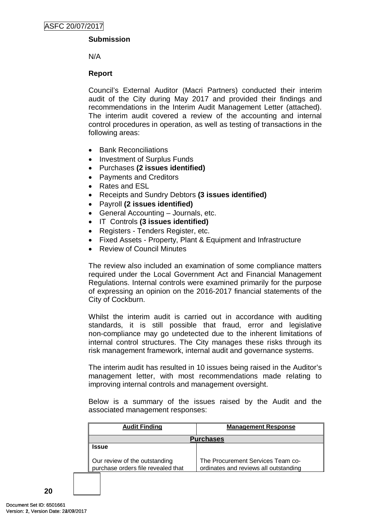## **Submission**

N/A

## **Report**

Council's External Auditor (Macri Partners) conducted their interim audit of the City during May 2017 and provided their findings and recommendations in the Interim Audit Management Letter (attached). The interim audit covered a review of the accounting and internal control procedures in operation, as well as testing of transactions in the following areas:

- Bank Reconciliations
- Investment of Surplus Funds
- Purchases **(2 issues identified)**
- Payments and Creditors
- Rates and ESL
- Receipts and Sundry Debtors **(3 issues identified)**
- Payroll **(2 issues identified)**
- General Accounting Journals, etc.
- IT Controls **(3 issues identified)**
- Registers Tenders Register, etc.
- Fixed Assets Property, Plant & Equipment and Infrastructure
- Review of Council Minutes

The review also included an examination of some compliance matters required under the Local Government Act and Financial Management Regulations. Internal controls were examined primarily for the purpose of expressing an opinion on the 2016-2017 financial statements of the City of Cockburn.

Whilst the interim audit is carried out in accordance with auditing standards, it is still possible that fraud, error and legislative non-compliance may go undetected due to the inherent limitations of internal control structures. The City manages these risks through its risk management framework, internal audit and governance systems.

The interim audit has resulted in 10 issues being raised in the Auditor's management letter, with most recommendations made relating to improving internal controls and management oversight.

Below is a summary of the issues raised by the Audit and the associated management responses:

| <b>Audit Finding</b>                                                | <b>Management Response</b>                                                 |
|---------------------------------------------------------------------|----------------------------------------------------------------------------|
| <b>Purchases</b>                                                    |                                                                            |
| <b>Issue</b>                                                        |                                                                            |
| Our review of the outstanding<br>purchase orders file revealed that | The Procurement Services Team co-<br>ordinates and reviews all outstanding |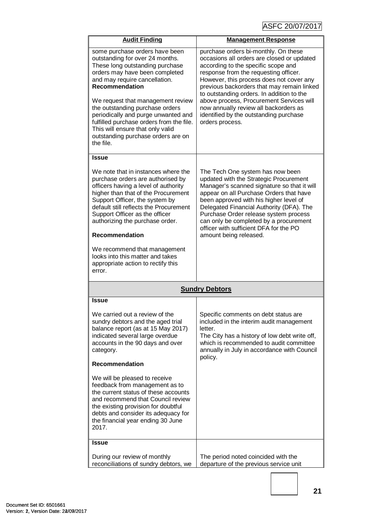| <b>Audit Finding</b>                                                                                                                                                                                                                                                                                                                                                                                                                               | <b>Management Response</b>                                                                                                                                                                                                                                                                                                                                                                                                                                  |
|----------------------------------------------------------------------------------------------------------------------------------------------------------------------------------------------------------------------------------------------------------------------------------------------------------------------------------------------------------------------------------------------------------------------------------------------------|-------------------------------------------------------------------------------------------------------------------------------------------------------------------------------------------------------------------------------------------------------------------------------------------------------------------------------------------------------------------------------------------------------------------------------------------------------------|
| some purchase orders have been<br>outstanding for over 24 months.<br>These long outstanding purchase<br>orders may have been completed<br>and may require cancellation.<br><b>Recommendation</b><br>We request that management review<br>the outstanding purchase orders<br>periodically and purge unwanted and<br>fulfilled purchase orders from the file.<br>This will ensure that only valid<br>outstanding purchase orders are on<br>the file. | purchase orders bi-monthly. On these<br>occasions all orders are closed or updated<br>according to the specific scope and<br>response from the requesting officer.<br>However, this process does not cover any<br>previous backorders that may remain linked<br>to outstanding orders. In addition to the<br>above process, Procurement Services will<br>now annually review all backorders as<br>identified by the outstanding purchase<br>orders process. |
| <b>Issue</b>                                                                                                                                                                                                                                                                                                                                                                                                                                       |                                                                                                                                                                                                                                                                                                                                                                                                                                                             |
| We note that in instances where the<br>purchase orders are authorised by<br>officers having a level of authority<br>higher than that of the Procurement<br>Support Officer, the system by<br>default still reflects the Procurement<br>Support Officer as the officer<br>authorizing the purchase order.<br><b>Recommendation</b>                                                                                                                  | The Tech One system has now been<br>updated with the Strategic Procurement<br>Manager's scanned signature so that it will<br>appear on all Purchase Orders that have<br>been approved with his higher level of<br>Delegated Financial Authority (DFA). The<br>Purchase Order release system process<br>can only be completed by a procurement<br>officer with sufficient DFA for the PO<br>amount being released.                                           |
| We recommend that management<br>looks into this matter and takes<br>appropriate action to rectify this<br>error.                                                                                                                                                                                                                                                                                                                                   |                                                                                                                                                                                                                                                                                                                                                                                                                                                             |
| <b>Sundry Debtors</b>                                                                                                                                                                                                                                                                                                                                                                                                                              |                                                                                                                                                                                                                                                                                                                                                                                                                                                             |
| <b>Issue</b>                                                                                                                                                                                                                                                                                                                                                                                                                                       |                                                                                                                                                                                                                                                                                                                                                                                                                                                             |
| We carried out a review of the<br>sundry debtors and the aged trial<br>balance report (as at 15 May 2017)<br>indicated several large overdue<br>accounts in the 90 days and over<br>category.                                                                                                                                                                                                                                                      | Specific comments on debt status are<br>included in the interim audit management<br>letter.<br>The City has a history of low debt write off,<br>which is recommended to audit committee<br>annually in July in accordance with Council<br>policy.                                                                                                                                                                                                           |
| <b>Recommendation</b>                                                                                                                                                                                                                                                                                                                                                                                                                              |                                                                                                                                                                                                                                                                                                                                                                                                                                                             |
| We will be pleased to receive<br>feedback from management as to<br>the current status of these accounts<br>and recommend that Council review<br>the existing provision for doubtful<br>debts and consider its adequacy for<br>the financial year ending 30 June<br>2017.                                                                                                                                                                           |                                                                                                                                                                                                                                                                                                                                                                                                                                                             |
| <b>Issue</b>                                                                                                                                                                                                                                                                                                                                                                                                                                       |                                                                                                                                                                                                                                                                                                                                                                                                                                                             |
| During our review of monthly<br>reconciliations of sundry debtors, we                                                                                                                                                                                                                                                                                                                                                                              | The period noted coincided with the<br>departure of the previous service unit                                                                                                                                                                                                                                                                                                                                                                               |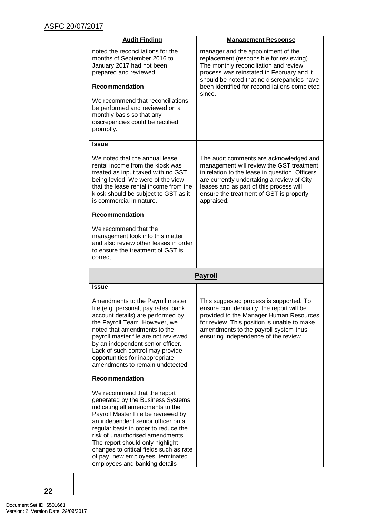| <b>Audit Finding</b>                                                                                                                                                                                                                                                                                                                                                                                               | <b>Management Response</b>                                                                                                                                                                                                                                                              |
|--------------------------------------------------------------------------------------------------------------------------------------------------------------------------------------------------------------------------------------------------------------------------------------------------------------------------------------------------------------------------------------------------------------------|-----------------------------------------------------------------------------------------------------------------------------------------------------------------------------------------------------------------------------------------------------------------------------------------|
| noted the reconciliations for the<br>months of September 2016 to<br>January 2017 had not been<br>prepared and reviewed.<br><b>Recommendation</b>                                                                                                                                                                                                                                                                   | manager and the appointment of the<br>replacement (responsible for reviewing).<br>The monthly reconciliation and review<br>process was reinstated in February and it<br>should be noted that no discrepancies have<br>been identified for reconciliations completed<br>since.           |
| We recommend that reconciliations<br>be performed and reviewed on a<br>monthly basis so that any<br>discrepancies could be rectified<br>promptly.                                                                                                                                                                                                                                                                  |                                                                                                                                                                                                                                                                                         |
| Issue                                                                                                                                                                                                                                                                                                                                                                                                              |                                                                                                                                                                                                                                                                                         |
| We noted that the annual lease<br>rental income from the kiosk was<br>treated as input taxed with no GST<br>being levied. We were of the view<br>that the lease rental income from the<br>kiosk should be subject to GST as it<br>is commercial in nature.                                                                                                                                                         | The audit comments are acknowledged and<br>management will review the GST treatment<br>in relation to the lease in question. Officers<br>are currently undertaking a review of City<br>leases and as part of this process will<br>ensure the treatment of GST is properly<br>appraised. |
| <b>Recommendation</b>                                                                                                                                                                                                                                                                                                                                                                                              |                                                                                                                                                                                                                                                                                         |
| We recommend that the<br>management look into this matter<br>and also review other leases in order<br>to ensure the treatment of GST is<br>correct.                                                                                                                                                                                                                                                                |                                                                                                                                                                                                                                                                                         |
|                                                                                                                                                                                                                                                                                                                                                                                                                    | <b>Payroll</b>                                                                                                                                                                                                                                                                          |
| Issue                                                                                                                                                                                                                                                                                                                                                                                                              |                                                                                                                                                                                                                                                                                         |
| Amendments to the Payroll master<br>file (e.g. personal, pay rates, bank<br>account details) are performed by<br>the Payroll Team. However, we<br>noted that amendments to the<br>payroll master file are not reviewed<br>by an independent senior officer.<br>Lack of such control may provide<br>opportunities for inappropriate<br>amendments to remain undetected                                              | This suggested process is supported. To<br>ensure confidentiality, the report will be<br>provided to the Manager Human Resources<br>for review. This position is unable to make<br>amendments to the payroll system thus<br>ensuring independence of the review.                        |
| <b>Recommendation</b>                                                                                                                                                                                                                                                                                                                                                                                              |                                                                                                                                                                                                                                                                                         |
| We recommend that the report<br>generated by the Business Systems<br>indicating all amendments to the<br>Payroll Master File be reviewed by<br>an independent senior officer on a<br>regular basis in order to reduce the<br>risk of unauthorised amendments.<br>The report should only highlight<br>changes to critical fields such as rate<br>of pay, new employees, terminated<br>employees and banking details |                                                                                                                                                                                                                                                                                         |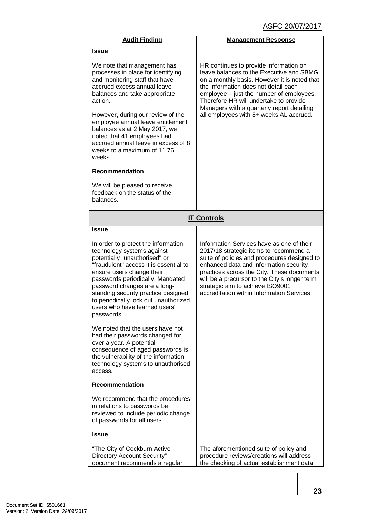| <b>Audit Finding</b>                                                                                                                                                                                                                                                                                                                                                                                     | <b>Management Response</b>                                                                                                                                                                                                                                                                                                                                    |  |
|----------------------------------------------------------------------------------------------------------------------------------------------------------------------------------------------------------------------------------------------------------------------------------------------------------------------------------------------------------------------------------------------------------|---------------------------------------------------------------------------------------------------------------------------------------------------------------------------------------------------------------------------------------------------------------------------------------------------------------------------------------------------------------|--|
| <b>Issue</b>                                                                                                                                                                                                                                                                                                                                                                                             |                                                                                                                                                                                                                                                                                                                                                               |  |
| We note that management has<br>processes in place for identifying<br>and monitoring staff that have<br>accrued excess annual leave<br>balances and take appropriate<br>action.<br>However, during our review of the<br>employee annual leave entitlement<br>balances as at 2 May 2017, we<br>noted that 41 employees had<br>accrued annual leave in excess of 8<br>weeks to a maximum of 11.76<br>weeks. | HR continues to provide information on<br>leave balances to the Executive and SBMG<br>on a monthly basis. However it is noted that<br>the information does not detail each<br>employee - just the number of employees.<br>Therefore HR will undertake to provide<br>Managers with a quarterly report detailing<br>all employees with 8+ weeks AL accrued.     |  |
| <b>Recommendation</b>                                                                                                                                                                                                                                                                                                                                                                                    |                                                                                                                                                                                                                                                                                                                                                               |  |
| We will be pleased to receive<br>feedback on the status of the<br>balances.                                                                                                                                                                                                                                                                                                                              |                                                                                                                                                                                                                                                                                                                                                               |  |
| <b>IT Controls</b>                                                                                                                                                                                                                                                                                                                                                                                       |                                                                                                                                                                                                                                                                                                                                                               |  |
| <b>Issue</b>                                                                                                                                                                                                                                                                                                                                                                                             |                                                                                                                                                                                                                                                                                                                                                               |  |
| In order to protect the information<br>technology systems against<br>potentially "unauthorised" or<br>"fraudulent" access it is essential to<br>ensure users change their<br>passwords periodically. Mandated<br>password changes are a long-<br>standing security practice designed<br>to periodically lock out unauthorized<br>users who have learned users'<br>passwords.                             | Information Services have as one of their<br>2017/18 strategic items to recommend a<br>suite of policies and procedures designed to<br>enhanced data and information security<br>practices across the City. These documents<br>will be a precursor to the City's longer term<br>strategic aim to achieve ISO9001<br>accreditation within Information Services |  |
| We noted that the users have not<br>had their passwords changed for<br>over a year. A potential<br>consequence of aged passwords is<br>the vulnerability of the information<br>technology systems to unauthorised<br>access.                                                                                                                                                                             |                                                                                                                                                                                                                                                                                                                                                               |  |
| <b>Recommendation</b>                                                                                                                                                                                                                                                                                                                                                                                    |                                                                                                                                                                                                                                                                                                                                                               |  |
| We recommend that the procedures<br>in relations to passwords be<br>reviewed to include periodic change<br>of passwords for all users.                                                                                                                                                                                                                                                                   |                                                                                                                                                                                                                                                                                                                                                               |  |
| Issue                                                                                                                                                                                                                                                                                                                                                                                                    |                                                                                                                                                                                                                                                                                                                                                               |  |
| "The City of Cockburn Active<br>Directory Account Security"<br>document recommends a regular                                                                                                                                                                                                                                                                                                             | The aforementioned suite of policy and<br>procedure reviews/creations will address<br>the checking of actual establishment data                                                                                                                                                                                                                               |  |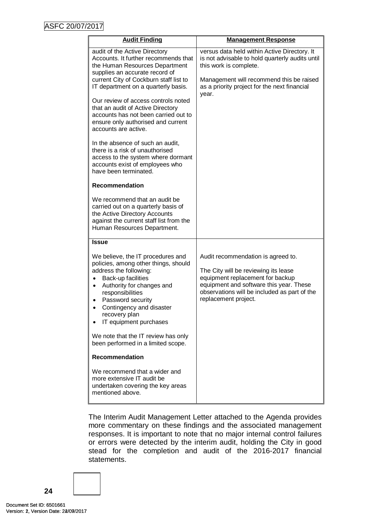| <b>Audit Finding</b>                                                                                                                                                                                                                                                                                                                                                                                                                                                                                                                                                                  | <b>Management Response</b>                                                                                                                                                                                                        |
|---------------------------------------------------------------------------------------------------------------------------------------------------------------------------------------------------------------------------------------------------------------------------------------------------------------------------------------------------------------------------------------------------------------------------------------------------------------------------------------------------------------------------------------------------------------------------------------|-----------------------------------------------------------------------------------------------------------------------------------------------------------------------------------------------------------------------------------|
| audit of the Active Directory<br>Accounts. It further recommends that<br>the Human Resources Department<br>supplies an accurate record of<br>current City of Cockburn staff list to<br>IT department on a quarterly basis.<br>Our review of access controls noted<br>that an audit of Active Directory<br>accounts has not been carried out to<br>ensure only authorised and current<br>accounts are active.<br>In the absence of such an audit,<br>there is a risk of unauthorised<br>access to the system where dormant<br>accounts exist of employees who<br>have been terminated. | versus data held within Active Directory. It<br>is not advisable to hold quarterly audits until<br>this work is complete.<br>Management will recommend this be raised<br>as a priority project for the next financial<br>year.    |
| Recommendation                                                                                                                                                                                                                                                                                                                                                                                                                                                                                                                                                                        |                                                                                                                                                                                                                                   |
| We recommend that an audit be<br>carried out on a quarterly basis of<br>the Active Directory Accounts<br>against the current staff list from the<br>Human Resources Department.                                                                                                                                                                                                                                                                                                                                                                                                       |                                                                                                                                                                                                                                   |
| <b>Issue</b>                                                                                                                                                                                                                                                                                                                                                                                                                                                                                                                                                                          |                                                                                                                                                                                                                                   |
| We believe, the IT procedures and<br>policies, among other things, should<br>address the following:<br>Back-up facilities<br>$\bullet$<br>Authority for changes and<br>$\bullet$<br>responsibilities<br>Password security<br>٠<br>Contingency and disaster<br>recovery plan<br>IT equipment purchases                                                                                                                                                                                                                                                                                 | Audit recommendation is agreed to.<br>The City will be reviewing its lease<br>equipment replacement for backup<br>equipment and software this year. These<br>observations will be included as part of the<br>replacement project. |
| We note that the IT review has only<br>been performed in a limited scope.                                                                                                                                                                                                                                                                                                                                                                                                                                                                                                             |                                                                                                                                                                                                                                   |
| <b>Recommendation</b>                                                                                                                                                                                                                                                                                                                                                                                                                                                                                                                                                                 |                                                                                                                                                                                                                                   |
| We recommend that a wider and<br>more extensive IT audit be<br>undertaken covering the key areas<br>mentioned above.                                                                                                                                                                                                                                                                                                                                                                                                                                                                  |                                                                                                                                                                                                                                   |

The Interim Audit Management Letter attached to the Agenda provides more commentary on these findings and the associated management responses. It is important to note that no major internal control failures or errors were detected by the interim audit, holding the City in good stead for the completion and audit of the 2016-2017 financial statements.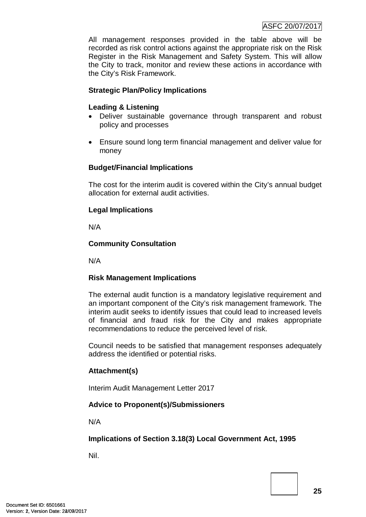All management responses provided in the table above will be recorded as risk control actions against the appropriate risk on the Risk Register in the Risk Management and Safety System. This will allow the City to track, monitor and review these actions in accordance with the City's Risk Framework.

## **Strategic Plan/Policy Implications**

## **Leading & Listening**

- Deliver sustainable governance through transparent and robust policy and processes
- Ensure sound long term financial management and deliver value for money

## **Budget/Financial Implications**

The cost for the interim audit is covered within the City's annual budget allocation for external audit activities.

# **Legal Implications**

N/A

## **Community Consultation**

N/A

# **Risk Management Implications**

The external audit function is a mandatory legislative requirement and an important component of the City's risk management framework. The interim audit seeks to identify issues that could lead to increased levels of financial and fraud risk for the City and makes appropriate recommendations to reduce the perceived level of risk.

Council needs to be satisfied that management responses adequately address the identified or potential risks.

## **Attachment(s)**

Interim Audit Management Letter 2017

# **Advice to Proponent(s)/Submissioners**

N/A

# **Implications of Section 3.18(3) Local Government Act, 1995**

Nil.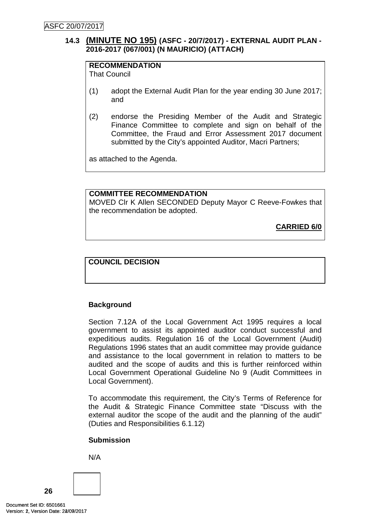# <span id="page-28-0"></span>**14.3 (MINUTE NO 195) (ASFC - 20/7/2017) - EXTERNAL AUDIT PLAN - 2016-2017 (067/001) (N MAURICIO) (ATTACH)**

# **RECOMMENDATION**

That Council

- (1) adopt the External Audit Plan for the year ending 30 June 2017; and
- (2) endorse the Presiding Member of the Audit and Strategic Finance Committee to complete and sign on behalf of the Committee, the Fraud and Error Assessment 2017 document submitted by the City's appointed Auditor, Macri Partners;

as attached to the Agenda.

#### **COMMITTEE RECOMMENDATION**

MOVED Clr K Allen SECONDED Deputy Mayor C Reeve-Fowkes that the recommendation be adopted.

**CARRIED 6/0**

## **COUNCIL DECISION**

## **Background**

Section 7.12A of the Local Government Act 1995 requires a local government to assist its appointed auditor conduct successful and expeditious audits. Regulation 16 of the Local Government (Audit) Regulations 1996 states that an audit committee may provide guidance and assistance to the local government in relation to matters to be audited and the scope of audits and this is further reinforced within Local Government Operational Guideline No 9 (Audit Committees in Local Government).

To accommodate this requirement, the City's Terms of Reference for the Audit & Strategic Finance Committee state "Discuss with the external auditor the scope of the audit and the planning of the audit" (Duties and Responsibilities 6.1.12)

## **Submission**



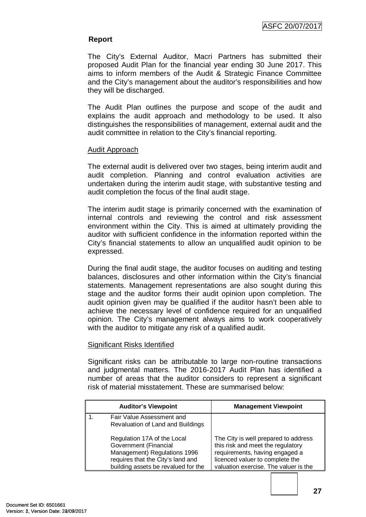## **Report**

The City's External Auditor, Macri Partners has submitted their proposed Audit Plan for the financial year ending 30 June 2017. This aims to inform members of the Audit & Strategic Finance Committee and the City's management about the auditor's responsibilities and how they will be discharged.

The Audit Plan outlines the purpose and scope of the audit and explains the audit approach and methodology to be used. It also distinguishes the responsibilities of management, external audit and the audit committee in relation to the City's financial reporting.

#### Audit Approach

The external audit is delivered over two stages, being interim audit and audit completion. Planning and control evaluation activities are undertaken during the interim audit stage, with substantive testing and audit completion the focus of the final audit stage.

The interim audit stage is primarily concerned with the examination of internal controls and reviewing the control and risk assessment environment within the City. This is aimed at ultimately providing the auditor with sufficient confidence in the information reported within the City's financial statements to allow an unqualified audit opinion to be expressed.

During the final audit stage, the auditor focuses on auditing and testing balances, disclosures and other information within the City's financial statements. Management representations are also sought during this stage and the auditor forms their audit opinion upon completion. The audit opinion given may be qualified if the auditor hasn't been able to achieve the necessary level of confidence required for an unqualified opinion. The City's management always aims to work cooperatively with the auditor to mitigate any risk of a qualified audit.

## Significant Risks Identified

Significant risks can be attributable to large non-routine transactions and judgmental matters. The 2016-2017 Audit Plan has identified a number of areas that the auditor considers to represent a significant risk of material misstatement. These are summarised below:

| <b>Auditor's Viewpoint</b>                                                                                                                                       | <b>Management Viewpoint</b>                                                                                                                                                             |
|------------------------------------------------------------------------------------------------------------------------------------------------------------------|-----------------------------------------------------------------------------------------------------------------------------------------------------------------------------------------|
| Fair Value Assessment and<br>Revaluation of Land and Buildings                                                                                                   |                                                                                                                                                                                         |
| Regulation 17A of the Local<br>Government (Financial<br>Management) Regulations 1996<br>requires that the City's land and<br>building assets be revalued for the | The City is well prepared to address<br>this risk and meet the regulatory<br>requirements, having engaged a<br>licenced valuer to complete the<br>valuation exercise. The valuer is the |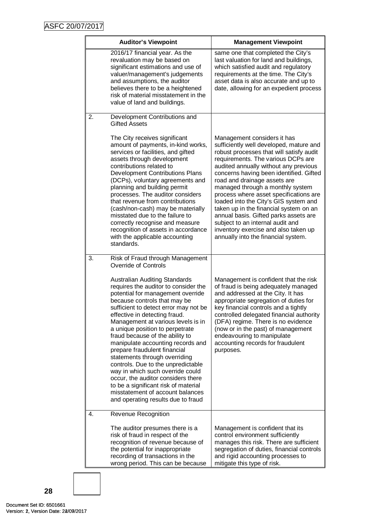|    | <b>Auditor's Viewpoint</b>                                                                                                                                                                                                                                                                                                                                                                                                                                                                                                                                                                                                                                                      | <b>Management Viewpoint</b>                                                                                                                                                                                                                                                                                                                                                                                                                                                                                                                                                                               |
|----|---------------------------------------------------------------------------------------------------------------------------------------------------------------------------------------------------------------------------------------------------------------------------------------------------------------------------------------------------------------------------------------------------------------------------------------------------------------------------------------------------------------------------------------------------------------------------------------------------------------------------------------------------------------------------------|-----------------------------------------------------------------------------------------------------------------------------------------------------------------------------------------------------------------------------------------------------------------------------------------------------------------------------------------------------------------------------------------------------------------------------------------------------------------------------------------------------------------------------------------------------------------------------------------------------------|
|    | 2016/17 financial year. As the<br>revaluation may be based on<br>significant estimations and use of<br>valuer/management's judgements<br>and assumptions, the auditor<br>believes there to be a heightened<br>risk of material misstatement in the<br>value of land and buildings.                                                                                                                                                                                                                                                                                                                                                                                              | same one that completed the City's<br>last valuation for land and buildings,<br>which satisfied audit and regulatory<br>requirements at the time. The City's<br>asset data is also accurate and up to<br>date, allowing for an expedient process                                                                                                                                                                                                                                                                                                                                                          |
| 2. | Development Contributions and<br><b>Gifted Assets</b>                                                                                                                                                                                                                                                                                                                                                                                                                                                                                                                                                                                                                           |                                                                                                                                                                                                                                                                                                                                                                                                                                                                                                                                                                                                           |
|    | The City receives significant<br>amount of payments, in-kind works,<br>services or facilities, and gifted<br>assets through development<br>contributions related to<br><b>Development Contributions Plans</b><br>(DCPs), voluntary agreements and<br>planning and building permit<br>processes. The auditor considers<br>that revenue from contributions<br>(cash/non-cash) may be materially<br>misstated due to the failure to<br>correctly recognise and measure<br>recognition of assets in accordance<br>with the applicable accounting<br>standards.                                                                                                                      | Management considers it has<br>sufficiently well developed, mature and<br>robust processes that will satisfy audit<br>requirements. The various DCPs are<br>audited annually without any previous<br>concerns having been identified. Gifted<br>road and drainage assets are<br>managed through a monthly system<br>process where asset specifications are<br>loaded into the City's GIS system and<br>taken up in the financial system on an<br>annual basis. Gifted parks assets are<br>subject to an internal audit and<br>inventory exercise and also taken up<br>annually into the financial system. |
| 3. | Risk of Fraud through Management<br><b>Override of Controls</b>                                                                                                                                                                                                                                                                                                                                                                                                                                                                                                                                                                                                                 |                                                                                                                                                                                                                                                                                                                                                                                                                                                                                                                                                                                                           |
|    | <b>Australian Auditing Standards</b><br>requires the auditor to consider the<br>potential for management override<br>because controls that may be<br>sufficient to detect error may not be<br>effective in detecting fraud.<br>Management at various levels is in<br>a unique position to perpetrate<br>fraud because of the ability to<br>manipulate accounting records and<br>prepare fraudulent financial<br>statements through overriding<br>controls. Due to the unpredictable<br>way in which such override could<br>occur, the auditor considers there<br>to be a significant risk of material<br>misstatement of account balances<br>and operating results due to fraud | Management is confident that the risk<br>of fraud is being adequately managed<br>and addressed at the City. It has<br>appropriate segregation of duties for<br>key financial controls and a tightly<br>controlled delegated financial authority<br>(DFA) regime. There is no evidence<br>(now or in the past) of management<br>endeavouring to manipulate<br>accounting records for fraudulent<br>purposes.                                                                                                                                                                                               |
| 4. | <b>Revenue Recognition</b>                                                                                                                                                                                                                                                                                                                                                                                                                                                                                                                                                                                                                                                      |                                                                                                                                                                                                                                                                                                                                                                                                                                                                                                                                                                                                           |
|    | The auditor presumes there is a<br>risk of fraud in respect of the<br>recognition of revenue because of<br>the potential for inappropriate<br>recording of transactions in the<br>wrong period. This can be because                                                                                                                                                                                                                                                                                                                                                                                                                                                             | Management is confident that its<br>control environment sufficiently<br>manages this risk. There are sufficient<br>segregation of duties, financial controls<br>and rigid accounting processes to<br>mitigate this type of risk.                                                                                                                                                                                                                                                                                                                                                                          |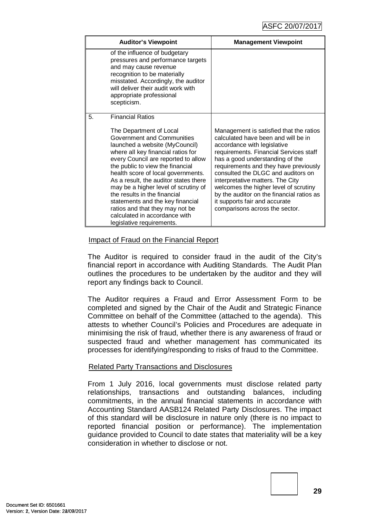| <b>Auditor's Viewpoint</b>                                                                                                                                                                                                                                                                                                                                                                                                                                                                                                            | <b>Management Viewpoint</b>                                                                                                                                                                                                                                                                                                                                                                                                                                            |
|---------------------------------------------------------------------------------------------------------------------------------------------------------------------------------------------------------------------------------------------------------------------------------------------------------------------------------------------------------------------------------------------------------------------------------------------------------------------------------------------------------------------------------------|------------------------------------------------------------------------------------------------------------------------------------------------------------------------------------------------------------------------------------------------------------------------------------------------------------------------------------------------------------------------------------------------------------------------------------------------------------------------|
| of the influence of budgetary<br>pressures and performance targets<br>and may cause revenue<br>recognition to be materially<br>misstated. Accordingly, the auditor<br>will deliver their audit work with<br>appropriate professional<br>scepticism.                                                                                                                                                                                                                                                                                   |                                                                                                                                                                                                                                                                                                                                                                                                                                                                        |
| <b>Financial Ratios</b><br>5.<br>The Department of Local<br>Government and Communities<br>launched a website (MyCouncil)<br>where all key financial ratios for<br>every Council are reported to allow<br>the public to view the financial<br>health score of local governments.<br>As a result, the auditor states there<br>may be a higher level of scrutiny of<br>the results in the financial<br>statements and the key financial<br>ratios and that they may not be<br>calculated in accordance with<br>legislative requirements. | Management is satisfied that the ratios<br>calculated have been and will be in<br>accordance with legislative<br>requirements. Financial Services staff<br>has a good understanding of the<br>requirements and they have previously<br>consulted the DLGC and auditors on<br>interpretative matters. The City<br>welcomes the higher level of scrutiny<br>by the auditor on the financial ratios as<br>it supports fair and accurate<br>comparisons across the sector. |

## Impact of Fraud on the Financial Report

The Auditor is required to consider fraud in the audit of the City's financial report in accordance with Auditing Standards. The Audit Plan outlines the procedures to be undertaken by the auditor and they will report any findings back to Council.

The Auditor requires a Fraud and Error Assessment Form to be completed and signed by the Chair of the Audit and Strategic Finance Committee on behalf of the Committee (attached to the agenda). This attests to whether Council's Policies and Procedures are adequate in minimising the risk of fraud, whether there is any awareness of fraud or suspected fraud and whether management has communicated its processes for identifying/responding to risks of fraud to the Committee.

## Related Party Transactions and Disclosures

From 1 July 2016, local governments must disclose related party relationships, transactions and outstanding balances, including commitments, in the annual financial statements in accordance with Accounting Standard AASB124 Related Party Disclosures. The impact of this standard will be disclosure in nature only (there is no impact to reported financial position or performance). The implementation guidance provided to Council to date states that materiality will be a key consideration in whether to disclose or not.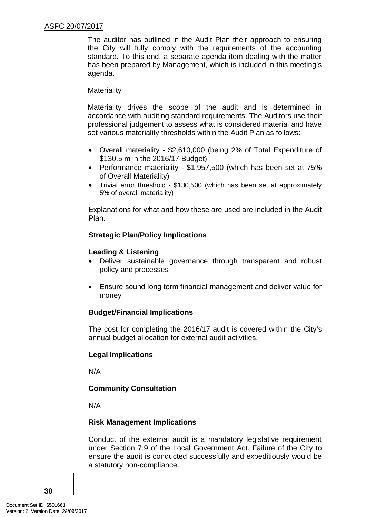## ASFC 20/07/2017

The auditor has outlined in the Audit Plan their approach to ensuring the City will fully comply with the requirements of the accounting standard. To this end, a separate agenda item dealing with the matter has been prepared by Management, which is included in this meeting's agenda.

#### **Materiality**

Materiality drives the scope of the audit and is determined in accordance with auditing standard requirements. The Auditors use their professional judgement to assess what is considered material and have set various materiality thresholds within the Audit Plan as follows:

- Overall materiality \$2,610,000 (being 2% of Total Expenditure of \$130.5 m in the 2016/17 Budget)
- Performance materiality \$1,957,500 (which has been set at 75% of Overall Materiality)
- Trivial error threshold \$130,500 (which has been set at approximately 5% of overall materiality)

Explanations for what and how these are used are included in the Audit Plan.

## **Strategic Plan/Policy Implications**

## **Leading & Listening**

- Deliver sustainable governance through transparent and robust policy and processes
- Ensure sound long term financial management and deliver value for money

## **Budget/Financial Implications**

The cost for completing the 2016/17 audit is covered within the City's annual budget allocation for external audit activities.

## **Legal Implications**

N/A

## **Community Consultation**

N/A

## **Risk Management Implications**

Conduct of the external audit is a mandatory legislative requirement under Section 7.9 of the Local Government Act. Failure of the City to ensure the audit is conducted successfully and expeditiously would be a statutory non-compliance.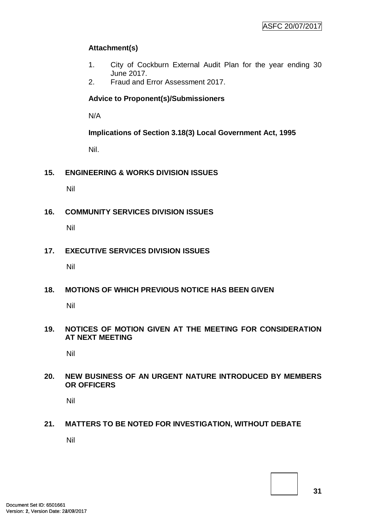# **Attachment(s)**

- 1. City of Cockburn External Audit Plan for the year ending 30 June 2017.
- 2. Fraud and Error Assessment 2017.

# **Advice to Proponent(s)/Submissioners**

N/A

**Implications of Section 3.18(3) Local Government Act, 1995**

Nil.

<span id="page-33-0"></span>**15. ENGINEERING & WORKS DIVISION ISSUES**

Nil

<span id="page-33-1"></span>**16. COMMUNITY SERVICES DIVISION ISSUES**

Nil

<span id="page-33-2"></span>**17. EXECUTIVE SERVICES DIVISION ISSUES**

Nil

<span id="page-33-3"></span>**18. MOTIONS OF WHICH PREVIOUS NOTICE HAS BEEN GIVEN**

Nil

<span id="page-33-4"></span>**19. NOTICES OF MOTION GIVEN AT THE MEETING FOR CONSIDERATION AT NEXT MEETING**

Nil

<span id="page-33-5"></span>**20. NEW BUSINESS OF AN URGENT NATURE INTRODUCED BY MEMBERS OR OFFICERS**

Nil

## <span id="page-33-6"></span>**21. MATTERS TO BE NOTED FOR INVESTIGATION, WITHOUT DEBATE**

Nil